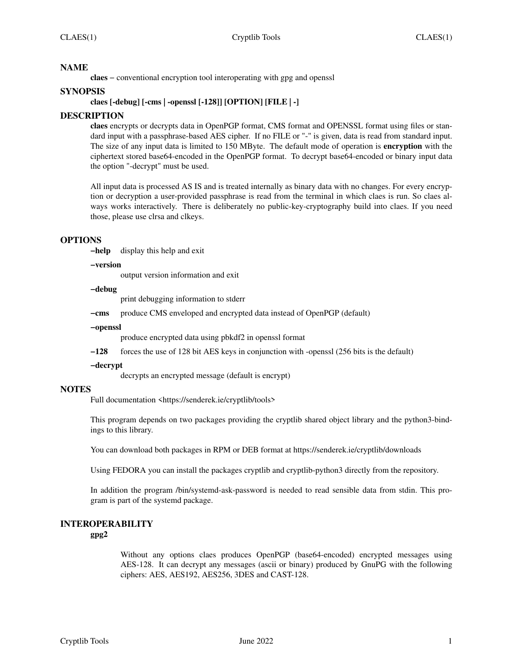## **NAME**

**claes** − conventional encryption tool interoperating with gpg and openssl

## **SYNOPSIS**

## **claes [-debug] [-cms | -openssl [-128]] [OPTION] [FILE | -]**

## **DESCRIPTION**

**claes** encrypts or decrypts data in OpenPGP format, CMS format and OPENSSL format using files or standard input with a passphrase-based AES cipher. If no FILE or "-" is given, data is read from standard input. The size of any input data is limited to 150 MByte. The default mode of operation is **encryption** with the ciphertext stored base64-encoded in the OpenPGP format. To decrypt base64-encoded or binary input data the option "-decrypt" must be used.

All input data is processed AS IS and is treated internally as binary data with no changes. For every encryption or decryption a user-provided passphrase is read from the terminal in which claes is run. So claes always works interactively. There is deliberately no public-key-cryptography build into claes. If you need those, please use clrsa and clkeys.

## **OPTIONS**

**−help** display this help and exit

#### **−version**

output version information and exit

#### **−debug**

print debugging information to stderr

**−cms** produce CMS enveloped and encrypted data instead of OpenPGP (default)

#### **−openssl**

produce encrypted data using pbkdf2 in openssl format

**−128** forces the use of 128 bit AES keys in conjunction with -openssl (256 bits is the default)

#### **−decrypt**

decrypts an encrypted message (default is encrypt)

## **NOTES**

Full documentation <https://senderek.ie/cryptlib/tools>

This program depends on two packages providing the cryptlib shared object library and the python3-bindings to this library.

You can download both packages in RPM or DEB format at https://senderek.ie/cryptlib/downloads

Using FEDORA you can install the packages cryptlib and cryptlib-python3 directly from the repository.

In addition the program /bin/systemd-ask-password is needed to read sensible data from stdin. This program is part of the systemd package.

# **INTEROPERABILITY**

**gpg2**

Without any options claes produces OpenPGP (base64-encoded) encrypted messages using AES-128. It can decrypt any messages (ascii or binary) produced by GnuPG with the following ciphers: AES, AES192, AES256, 3DES and CAST-128.